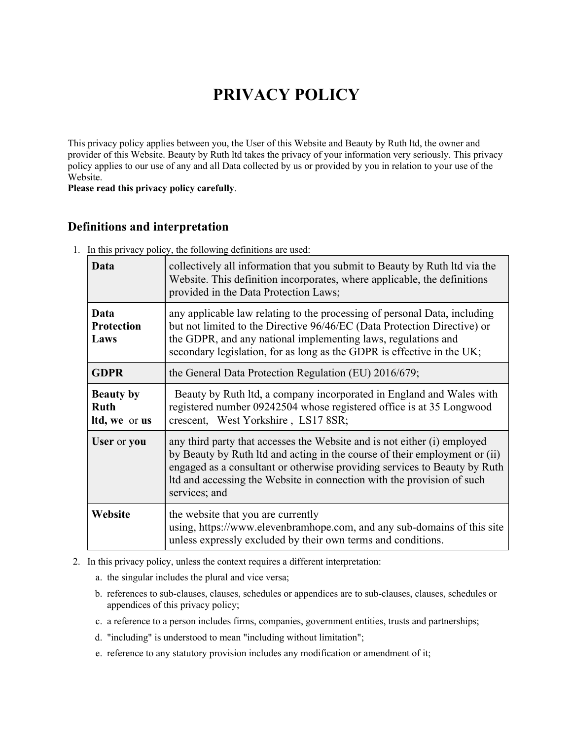# **PRIVACY POLICY**

This privacy policy applies between you, the User of this Website and Beauty by Ruth ltd, the owner and provider of this Website. Beauty by Ruth ltd takes the privacy of your information very seriously. This privacy policy applies to our use of any and all Data collected by us or provided by you in relation to your use of the Website.

**Please read this privacy policy carefully**.

## **Definitions and interpretation**

1. In this privacy policy, the following definitions are used:

| Data                                             | collectively all information that you submit to Beauty by Ruth Itd via the<br>Website. This definition incorporates, where applicable, the definitions<br>provided in the Data Protection Laws;                                                                                                                                |
|--------------------------------------------------|--------------------------------------------------------------------------------------------------------------------------------------------------------------------------------------------------------------------------------------------------------------------------------------------------------------------------------|
| Data<br><b>Protection</b><br>Laws                | any applicable law relating to the processing of personal Data, including<br>but not limited to the Directive 96/46/EC (Data Protection Directive) or<br>the GDPR, and any national implementing laws, regulations and<br>secondary legislation, for as long as the GDPR is effective in the UK;                               |
| <b>GDPR</b>                                      | the General Data Protection Regulation (EU) 2016/679;                                                                                                                                                                                                                                                                          |
| <b>Beauty by</b><br><b>Ruth</b><br>Itd, we or us | Beauty by Ruth ltd, a company incorporated in England and Wales with<br>registered number 09242504 whose registered office is at 35 Longwood<br>crescent, West Yorkshire, LS17 8SR;                                                                                                                                            |
| User or you                                      | any third party that accesses the Website and is not either (i) employed<br>by Beauty by Ruth ltd and acting in the course of their employment or (ii)<br>engaged as a consultant or otherwise providing services to Beauty by Ruth<br>Itd and accessing the Website in connection with the provision of such<br>services; and |
| Website                                          | the website that you are currently<br>using, https://www.elevenbramhope.com, and any sub-domains of this site<br>unless expressly excluded by their own terms and conditions.                                                                                                                                                  |

2. In this privacy policy, unless the context requires a different interpretation:

- a. the singular includes the plural and vice versa;
- b. references to sub-clauses, clauses, schedules or appendices are to sub-clauses, clauses, schedules or appendices of this privacy policy;
- c. a reference to a person includes firms, companies, government entities, trusts and partnerships;
- d. "including" is understood to mean "including without limitation";
- e. reference to any statutory provision includes any modification or amendment of it;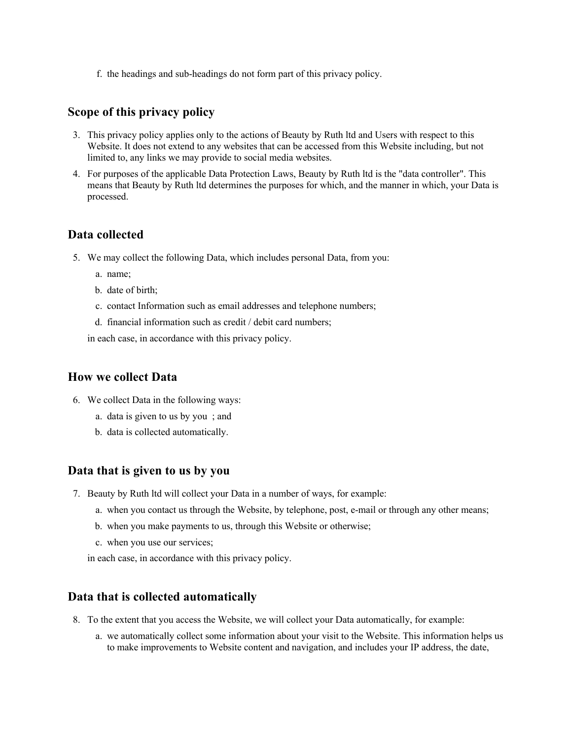f. the headings and sub-headings do not form part of this privacy policy.

#### **Scope of this privacy policy**

- 3. This privacy policy applies only to the actions of Beauty by Ruth ltd and Users with respect to this Website. It does not extend to any websites that can be accessed from this Website including, but not limited to, any links we may provide to social media websites.
- 4. For purposes of the applicable Data Protection Laws, Beauty by Ruth ltd is the "data controller". This means that Beauty by Ruth ltd determines the purposes for which, and the manner in which, your Data is processed.

#### **Data collected**

- 5. We may collect the following Data, which includes personal Data, from you:
	- a. name;
	- b. date of birth;
	- c. contact Information such as email addresses and telephone numbers;
	- d. financial information such as credit / debit card numbers;

in each case, in accordance with this privacy policy.

#### **How we collect Data**

- 6. We collect Data in the following ways:
	- a. data is given to us by you ; and
	- b. data is collected automatically.

#### **Data that is given to us by you**

- 7. Beauty by Ruth ltd will collect your Data in a number of ways, for example:
	- a. when you contact us through the Website, by telephone, post, e-mail or through any other means;
	- b. when you make payments to us, through this Website or otherwise;
	- c. when you use our services;

in each case, in accordance with this privacy policy.

#### **Data that is collected automatically**

- 8. To the extent that you access the Website, we will collect your Data automatically, for example:
	- a. we automatically collect some information about your visit to the Website. This information helps us to make improvements to Website content and navigation, and includes your IP address, the date,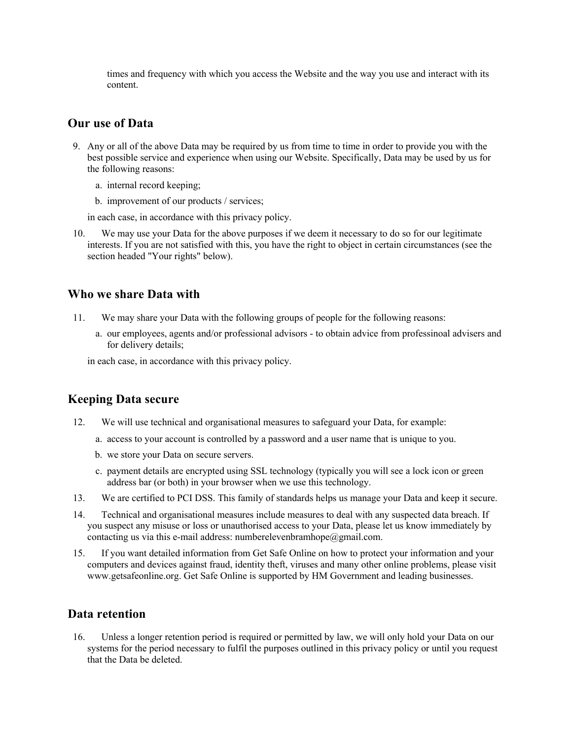times and frequency with which you access the Website and the way you use and interact with its content.

### **Our use of Data**

- 9. Any or all of the above Data may be required by us from time to time in order to provide you with the best possible service and experience when using our Website. Specifically, Data may be used by us for the following reasons:
	- a. internal record keeping;
	- b. improvement of our products / services;

in each case, in accordance with this privacy policy.

10. We may use your Data for the above purposes if we deem it necessary to do so for our legitimate interests. If you are not satisfied with this, you have the right to object in certain circumstances (see the section headed "Your rights" below).

#### **Who we share Data with**

- 11. We may share your Data with the following groups of people for the following reasons:
	- a. our employees, agents and/or professional advisors to obtain advice from professinoal advisers and for delivery details;

in each case, in accordance with this privacy policy.

#### **Keeping Data secure**

- 12. We will use technical and organisational measures to safeguard your Data, for example:
	- a. access to your account is controlled by a password and a user name that is unique to you.
	- b. we store your Data on secure servers.
	- c. payment details are encrypted using SSL technology (typically you will see a lock icon or green address bar (or both) in your browser when we use this technology.
- 13. We are certified to PCI DSS. This family of standards helps us manage your Data and keep it secure.
- 14. Technical and organisational measures include measures to deal with any suspected data breach. If you suspect any misuse or loss or unauthorised access to your Data, please let us know immediately by contacting us via this e-mail address: numberelevenbramhope@gmail.com.
- 15. If you want detailed information from Get Safe Online on how to protect your information and your computers and devices against fraud, identity theft, viruses and many other online problems, please visit www.getsafeonline.org. Get Safe Online is supported by HM Government and leading businesses.

#### **Data retention**

16. Unless a longer retention period is required or permitted by law, we will only hold your Data on our systems for the period necessary to fulfil the purposes outlined in this privacy policy or until you request that the Data be deleted.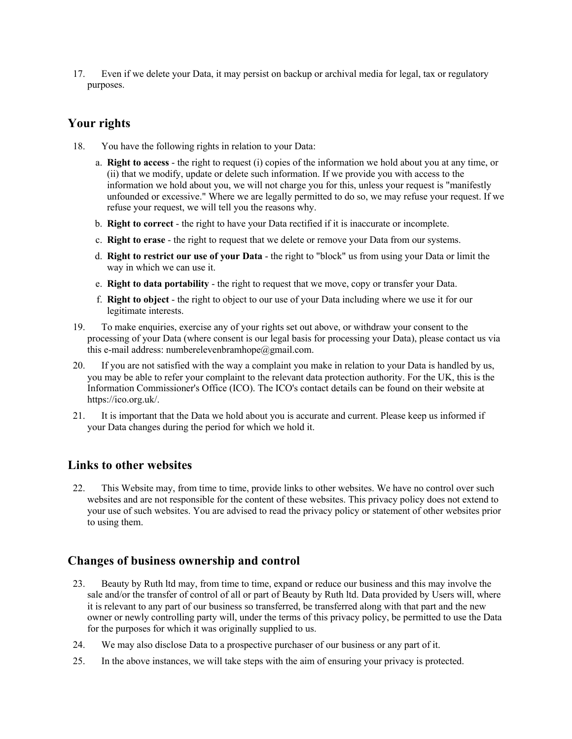17. Even if we delete your Data, it may persist on backup or archival media for legal, tax or regulatory purposes.

## **Your rights**

- 18. You have the following rights in relation to your Data:
	- a. **Right to access** the right to request (i) copies of the information we hold about you at any time, or (ii) that we modify, update or delete such information. If we provide you with access to the information we hold about you, we will not charge you for this, unless your request is "manifestly unfounded or excessive." Where we are legally permitted to do so, we may refuse your request. If we refuse your request, we will tell you the reasons why.
	- b. **Right to correct** the right to have your Data rectified if it is inaccurate or incomplete.
	- c. **Right to erase** the right to request that we delete or remove your Data from our systems.
	- d. **Right to restrict our use of your Data** the right to "block" us from using your Data or limit the way in which we can use it.
	- e. **Right to data portability** the right to request that we move, copy or transfer your Data.
	- f. **Right to object** the right to object to our use of your Data including where we use it for our legitimate interests.
- 19. To make enquiries, exercise any of your rights set out above, or withdraw your consent to the processing of your Data (where consent is our legal basis for processing your Data), please contact us via this e-mail address: numberelevenbramhope@gmail.com.
- 20. If you are not satisfied with the way a complaint you make in relation to your Data is handled by us, you may be able to refer your complaint to the relevant data protection authority. For the UK, this is the Information Commissioner's Office (ICO). The ICO's contact details can be found on their website at https://ico.org.uk/.
- 21. It is important that the Data we hold about you is accurate and current. Please keep us informed if your Data changes during the period for which we hold it.

## **Links to other websites**

22. This Website may, from time to time, provide links to other websites. We have no control over such websites and are not responsible for the content of these websites. This privacy policy does not extend to your use of such websites. You are advised to read the privacy policy or statement of other websites prior to using them.

## **Changes of business ownership and control**

- 23. Beauty by Ruth ltd may, from time to time, expand or reduce our business and this may involve the sale and/or the transfer of control of all or part of Beauty by Ruth ltd. Data provided by Users will, where it is relevant to any part of our business so transferred, be transferred along with that part and the new owner or newly controlling party will, under the terms of this privacy policy, be permitted to use the Data for the purposes for which it was originally supplied to us.
- 24. We may also disclose Data to a prospective purchaser of our business or any part of it.
- 25. In the above instances, we will take steps with the aim of ensuring your privacy is protected.